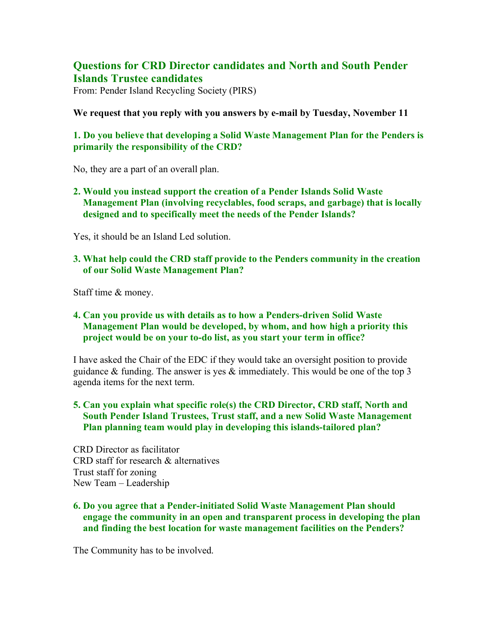# **Questions for CRD Director candidates and North and South Pender Islands Trustee candidates**

From: Pender Island Recycling Society (PIRS)

**We request that you reply with you answers by e-mail by Tuesday, November 11**

# **1. Do you believe that developing a Solid Waste Management Plan for the Penders is primarily the responsibility of the CRD?**

No, they are a part of an overall plan.

**2. Would you instead support the creation of a Pender Islands Solid Waste Management Plan (involving recyclables, food scraps, and garbage) that is locally designed and to specifically meet the needs of the Pender Islands?** 

Yes, it should be an Island Led solution.

## **3. What help could the CRD staff provide to the Penders community in the creation of our Solid Waste Management Plan?**

Staff time & money.

## **4. Can you provide us with details as to how a Penders-driven Solid Waste Management Plan would be developed, by whom, and how high a priority this project would be on your to-do list, as you start your term in office?**

I have asked the Chair of the EDC if they would take an oversight position to provide guidance  $\&$  funding. The answer is yes  $\&$  immediately. This would be one of the top 3 agenda items for the next term.

## **5. Can you explain what specific role(s) the CRD Director, CRD staff, North and South Pender Island Trustees, Trust staff, and a new Solid Waste Management Plan planning team would play in developing this islands-tailored plan?**

CRD Director as facilitator CRD staff for research & alternatives Trust staff for zoning New Team – Leadership

## **6. Do you agree that a Pender-initiated Solid Waste Management Plan should engage the community in an open and transparent process in developing the plan and finding the best location for waste management facilities on the Penders?**

The Community has to be involved.